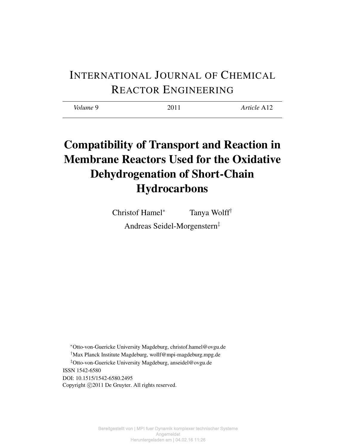## INTERNATIONAL JOURNAL OF CHEMICAL REACTOR ENGINEERING

| Volume 9 | 201 | Article A12 |
|----------|-----|-------------|
|          |     |             |

# Compatibility of Transport and Reaction in Membrane Reactors Used for the Oxidative Dehydrogenation of Short-Chain Hydrocarbons

Christof Hamel<sup>∗</sup> Tanya Wolff†

Andreas Seidel-Morgenstern‡

<sup>∗</sup>Otto-von-Guericke University Magdeburg, christof.hamel@ovgu.de †Max Planck Institute Magdeburg, wollf@mpi-magdeburg.mpg.de ‡Otto-von-Guericke University Magdeburg, anseidel@ovgu.de ISSN 1542-6580 DOI: 10.1515/1542-6580.2495 Copyright ©2011 De Gruyter. All rights reserved.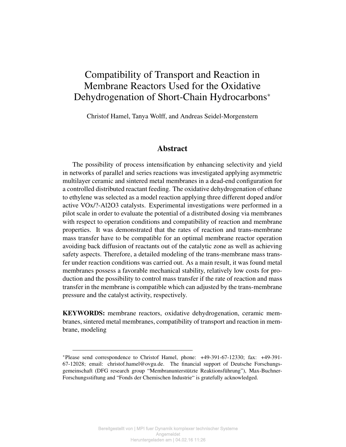### Compatibility of Transport and Reaction in Membrane Reactors Used for the Oxidative Dehydrogenation of Short-Chain Hydrocarbons<sup>∗</sup>

Christof Hamel, Tanya Wolff, and Andreas Seidel-Morgenstern

#### Abstract

The possibility of process intensification by enhancing selectivity and yield in networks of parallel and series reactions was investigated applying asymmetric multilayer ceramic and sintered metal membranes in a dead-end configuration for a controlled distributed reactant feeding. The oxidative dehydrogenation of ethane to ethylene was selected as a model reaction applying three different doped and/or active VOx/?-Al2O3 catalysts. Experimental investigations were performed in a pilot scale in order to evaluate the potential of a distributed dosing via membranes with respect to operation conditions and compatibility of reaction and membrane properties. It was demonstrated that the rates of reaction and trans-membrane mass transfer have to be compatible for an optimal membrane reactor operation avoiding back diffusion of reactants out of the catalytic zone as well as achieving safety aspects. Therefore, a detailed modeling of the trans-membrane mass transfer under reaction conditions was carried out. As a main result, it was found metal membranes possess a favorable mechanical stability, relatively low costs for production and the possibility to control mass transfer if the rate of reaction and mass transfer in the membrane is compatible which can adjusted by the trans-membrane pressure and the catalyst activity, respectively.

KEYWORDS: membrane reactors, oxidative dehydrogenation, ceramic membranes, sintered metal membranes, compatibility of transport and reaction in membrane, modeling

<sup>∗</sup>Please send correspondence to Christof Hamel, phone: +49-391-67-12330; fax: +49-391- 67-12028; email: christof.hamel@ovgu.de. The financial support of Deutsche Forschungsgemeinschaft (DFG research group "Membranunterstützte Reaktionsführung"), Max-Buchner-Forschungsstiftung and "Fonds der Chemischen Industrie" is gratefully acknowledged.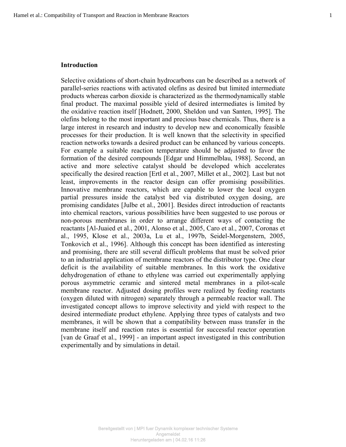#### **Introduction**

Selective oxidations of short-chain hydrocarbons can be described as a network of parallel-series reactions with activated olefins as desired but limited intermediate products whereas carbon dioxide is characterized as the thermodynamically stable final product. The maximal possible yield of desired intermediates is limited by the oxidative reaction itself [Hodnett, 2000, Sheldon und van Santen, 1995]. The olefins belong to the most important and precious base chemicals. Thus, there is a large interest in research and industry to develop new and economically feasible processes for their production. It is well known that the selectivity in specified reaction networks towards a desired product can be enhanced by various concepts. For example a suitable reaction temperature should be adjusted to favor the formation of the desired compounds [Edgar und Himmelblau, 1988]. Second, an active and more selective catalyst should be developed which accelerates specifically the desired reaction [Ertl et al., 2007, Millet et al., 2002]. Last but not least, improvements in the reactor design can offer promising possibilities. Innovative membrane reactors, which are capable to lower the local oxygen partial pressures inside the catalyst bed via distributed oxygen dosing, are promising candidates [Julbe et al., 2001]. Besides direct introduction of reactants into chemical reactors, various possibilities have been suggested to use porous or non-porous membranes in order to arrange different ways of contacting the reactants [Al-Juaied et al., 2001, Alonso et al., 2005, Caro et al., 2007, Coronas et al., 1995, Klose et al., 2003a, Lu et al., 1997b, Seidel-Morgenstern, 2005, Tonkovich et al., 1996]. Although this concept has been identified as interesting and promising, there are still several difficult problems that must be solved prior to an industrial application of membrane reactors of the distributor type. One clear deficit is the availability of suitable membranes. In this work the oxidative dehydrogenation of ethane to ethylene was carried out experimentally applying porous asymmetric ceramic and sintered metal membranes in a pilot-scale membrane reactor. Adjusted dosing profiles were realized by feeding reactants (oxygen diluted with nitrogen) separately through a permeable reactor wall. The investigated concept allows to improve selectivity and yield with respect to the desired intermediate product ethylene. Applying three types of catalysts and two membranes, it will be shown that a compatibility between mass transfer in the membrane itself and reaction rates is essential for successful reactor operation [van de Graaf et al., 1999] - an important aspect investigated in this contribution experimentally and by simulations in detail.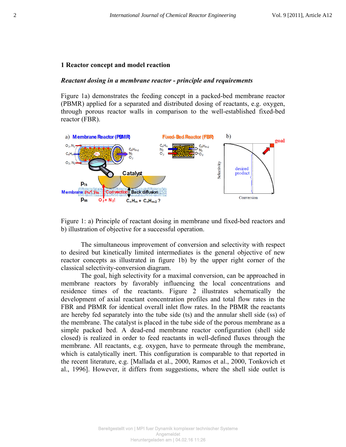#### **1 Reactor concept and model reaction**

#### *Reactant dosing in a membrane reactor - principle and requirements*

Figure 1a) demonstrates the feeding concept in a packed-bed membrane reactor (PBMR) applied for a separated and distributed dosing of reactants, e.g. oxygen, through porous reactor walls in comparison to the well-established fixed-bed reactor (FBR).



Figure 1: a) Principle of reactant dosing in membrane und fixed-bed reactors and b) illustration of objective for a successful operation.

The simultaneous improvement of conversion and selectivity with respect to desired but kinetically limited intermediates is the general objective of new reactor concepts as illustrated in figure 1b) by the upper right corner of the classical selectivity-conversion diagram.

The goal, high selectivity for a maximal conversion, can be approached in membrane reactors by favorably influencing the local concentrations and residence times of the reactants. Figure 2 illustrates schematically the development of axial reactant concentration profiles and total flow rates in the FBR and PBMR for identical overall inlet flow rates. In the PBMR the reactants are hereby fed separately into the tube side (ts) and the annular shell side (ss) of the membrane. The catalyst is placed in the tube side of the porous membrane as a simple packed bed. A dead-end membrane reactor configuration (shell side closed) is realized in order to feed reactants in well-defined fluxes through the membrane. All reactants, e.g. oxygen, have to permeate through the membrane, which is catalytically inert. This configuration is comparable to that reported in the recent literature, e.g. [Mallada et al., 2000, Ramos et al., 2000, Tonkovich et al., 1996]. However, it differs from suggestions, where the shell side outlet is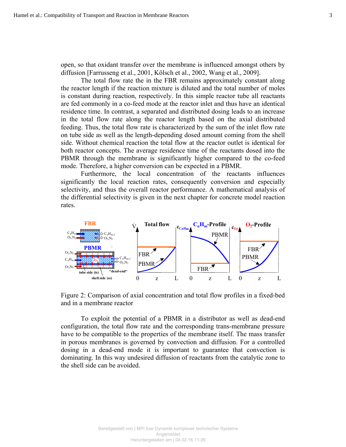open, so that oxidant transfer over the membrane is influenced amongst others by diffusion [Farrusseng et al., 2001, Kölsch et al., 2002, Wang et al., 2009].

The total flow rate the in the FBR remains approximately constant along the reactor length if the reaction mixture is diluted and the total number of moles is constant during reaction, respectively. In this simple reactor tube all reactants are fed commonly in a co-feed mode at the reactor inlet and thus have an identical residence time. In contrast, a separated and distributed dosing leads to an increase in the total flow rate along the reactor length based on the axial distributed feeding. Thus, the total flow rate is characterized by the sum of the inlet flow rate on tube side as well as the length-depending dosed amount coming from the shell side. Without chemical reaction the total flow at the reactor outlet is identical for both reactor concepts. The average residence time of the reactants dosed into the PBMR through the membrane is significantly higher compared to the co-feed mode. Therefore, a higher conversion can be expected in a PBMR.

Furthermore, the local concentration of the reactants influences significantly the local reaction rates, consequently conversion and especially selectivity, and thus the overall reactor performance. A mathematical analysis of the differential selectivity is given in the next chapter for concrete model reaction rates.



Figure 2: Comparison of axial concentration and total flow profiles in a fixed-bed and in a membrane reactor

To exploit the potential of a PBMR in a distributor as well as dead-end configuration, the total flow rate and the corresponding trans-membrane pressure have to be compatible to the properties of the membrane itself. The mass transfer in porous membranes is governed by convection and diffusion. For a controlled dosing in a dead-end mode it is important to guarantee that convection is dominating. In this way undesired diffusion of reactants from the catalytic zone to the shell side can be avoided.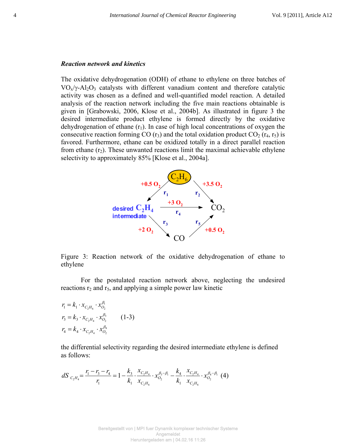#### *Reaction network and kinetics*

The oxidative dehydrogenation (ODH) of ethane to ethylene on three batches of  $VO_x/\gamma$ -Al<sub>2</sub>O<sub>3</sub> catalysts with different vanadium content and therefore catalytic activity was chosen as a defined and well-quantified model reaction. A detailed analysis of the reaction network including the five main reactions obtainable is given in [Grabowski, 2006, Klose et al., 2004b]. As illustrated in figure 3 the desired intermediate product ethylene is formed directly by the oxidative dehydrogenation of ethane  $(r_1)$ . In case of high local concentrations of oxygen the consecutive reaction forming CO  $(r_3)$  and the total oxidation product CO<sub>2</sub>  $(r_4, r_5)$  is favored. Furthermore, ethane can be oxidized totally in a direct parallel reaction from ethane  $(r_2)$ . These unwanted reactions limit the maximal achievable ethylene selectivity to approximately 85% [Klose et al., 2004a].



Figure 3: Reaction network of the oxidative dehydrogenation of ethane to ethylene

 For the postulated reaction network above, neglecting the undesired reactions  $r_2$  and  $r_5$ , and applying a simple power law kinetic

$$
r_1 = k_1 \cdot x_{C_2H_6} \cdot x_{O_2}^{\beta_1}
$$
  
\n
$$
r_3 = k_3 \cdot x_{C_2H_4} \cdot x_{O_2}^{\beta_3}
$$
 (1-3)  
\n
$$
r_4 = k_4 \cdot x_{C_2H_4} \cdot x_{O_2}^{\beta_4}
$$

the differential selectivity regarding the desired intermediate ethylene is defined as follows:

$$
dS_{C_2H_4} = \frac{r_1 - r_3 - r_4}{r_1} = 1 - \frac{k_3}{k_1} \cdot \frac{x_{C_2H_4}}{x_{C_2H_6}} \cdot x_{O_2}^{\beta_3 - \beta_1} - \frac{k_4}{k_1} \cdot \frac{x_{C_2H_4}}{x_{C_2H_6}} \cdot x_{O_2}^{\beta_4 - \beta_1} \tag{4}
$$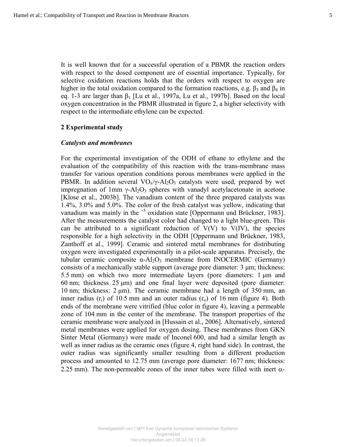It is well known that for a successful operation of a PBMR the reaction orders with respect to the dosed component are of essential importance. Typically, for selective oxidation reactions holds that the orders with respect to oxygen are higher in the total oxidation compared to the formation reactions, e.g.  $\beta_3$  and  $\beta_4$  in eq. 1-3 are larger than  $\beta_1$  [Lu et al., 1997a, Lu et al., 1997b]. Based on the local oxygen concentration in the PBMR illustrated in figure 2, a higher selectivity with respect to the intermediate ethylene can be expected.

#### **2 Experimental study**

#### *Catalysts and membranes*

For the experimental investigation of the ODH of ethane to ethylene and the evaluation of the compatibility of this reaction with the trans-membrane mass transfer for various operation conditions porous membranes were applied in the PBMR. In addition several  $VO_x/\gamma$ -Al<sub>2</sub>O<sub>3</sub> catalysts were used, prepared by wet impregnation of 1mm  $\gamma$ -Al<sub>2</sub>O<sub>3</sub> spheres with vanadyl acetylacetonate in acetone [Klose et al., 2003b]. The vanadium content of the three prepared catalysts was 1.4%, 3.0% and 5.0%. The color of the fresh catalyst was yellow, indicating that vanadium was mainly in the  $+5$  oxidation state [Oppermann und Brückner, 1983]. After the measurements the catalyst color had changed to a light blue-green. This can be attributed to a significant reduction of  $V(V)$  to  $V(IV)$ , the species responsible for a high selectivity in the ODH [Oppermann und Brückner, 1983, Zanthoff et al., 1999]. Ceramic and sintered metal membranes for distributing oxygen were investigated experimentally in a pilot-scale apparatus. Precisely, the tubular ceramic composite  $α$ -Al<sub>2</sub>O<sub>3</sub> membrane from INOCERMIC (Germany) consists of a mechanically stable support (average pore diameter: 3 μm; thickness: 5.5 mm) on which two more intermediate layers (pore diameters: 1 μm and 60 nm; thickness  $25 \mu m$ ) and one final layer were deposited (pore diameter: 10 nm; thickness: 2 μm). The ceramic membrane had a length of 350 mm, an inner radius  $(r_i)$  of 10.5 mm and an outer radius  $(r_o)$  of 16 mm (figure 4). Both ends of the membrane were vitrified (blue color in figure 4), leaving a permeable zone of 104 mm in the center of the membrane. The transport properties of the ceramic membrane were analyzed in [Hussain et al., 2006]. Alternatively, sintered metal membranes were applied for oxygen dosing. These membranes from GKN Sinter Metal (Germany) were made of Inconel 600, and had a similar length as well as inner radius as the ceramic ones (figure 4, right hand side). In contrast, the outer radius was significantly smaller resulting from a different production process and amounted to 12.75 mm (average pore diameter: 1677 nm; thickness: 2.25 mm). The non-permeable zones of the inner tubes were filled with inert  $\alpha$ -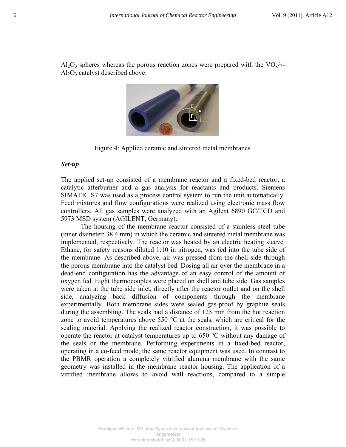Al<sub>2</sub>O<sub>3</sub> spheres whereas the porous reaction zones were prepared with the VO<sub>x</sub>/ $\gamma$ - $Al_2O_3$  catalyst described above.



Figure 4: Applied ceramic and sintered metal membranes

#### *Set-up*

The applied set-up consisted of a membrane reactor and a fixed-bed reactor, a catalytic afterburner and a gas analysis for reactants and products. Siemens SIMATIC S7 was used as a process control system to run the unit automatically. Feed mixtures and flow configurations were realized using electronic mass flow controllers. All gas samples were analyzed with an Agilent 6890 GC/TCD and 5973 MSD system (AGILENT, Germany).

The housing of the membrane reactor consisted of a stainless steel tube (inner diameter: 38.4 mm) in which the ceramic and sintered metal membrane was implemented, respectively. The reactor was heated by an electric heating sleeve. Ethane, for safety reasons diluted 1:10 in nitrogen, was fed into the tube side of the membrane. As described above, air was pressed from the shell side through the porous membrane into the catalyst bed. Dosing all air over the membrane in a dead-end configuration has the advantage of an easy control of the amount of oxygen fed. Eight thermocouples were placed on shell and tube side. Gas samples were taken at the tube side inlet, directly after the reactor outlet and on the shell side, analyzing back diffusion of components through the membrane experimentally. Both membrane sides were sealed gas-proof by graphite seals during the assembling. The seals had a distance of 125 mm from the hot reaction zone to avoid temperatures above 550  $\degree$ C at the seals, which are critical for the sealing material. Applying the realized reactor construction, it was possible to operate the reactor at catalyst temperatures up to 650 °C without any damage of the seals or the membrane. Performing experiments in a fixed-bed reactor, operating in a co-feed mode, the same reactor equipment was used. In contrast to the PBMR operation a completely vitrified alumina membrane with the same geometry was installed in the membrane reactor housing. The application of a vitrified membrane allows to avoid wall reactions, compared to a simple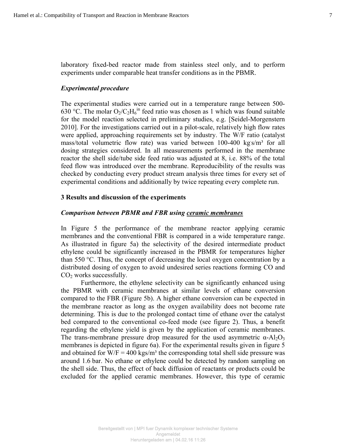laboratory fixed-bed reactor made from stainless steel only, and to perform experiments under comparable heat transfer conditions as in the PBMR.

#### *Experimental procedure*

The experimental studies were carried out in a temperature range between 500- 630 °C. The molar  $O_2/C_2H_6$ <sup>in</sup> feed ratio was chosen as 1 which was found suitable for the model reaction selected in preliminary studies, e.g. [Seidel-Morgenstern 2010]. For the investigations carried out in a pilot-scale, relatively high flow rates were applied, approaching requirements set by industry. The W/F ratio (catalyst mass/total volumetric flow rate) was varied between 100-400 kg s/m<sup>3</sup> for all dosing strategies considered. In all measurements performed in the membrane reactor the shell side/tube side feed ratio was adjusted at 8, i.e. 88% of the total feed flow was introduced over the membrane. Reproducibility of the results was checked by conducting every product stream analysis three times for every set of experimental conditions and additionally by twice repeating every complete run.

#### **3 Results and discussion of the experiments**

#### *Comparison between PBMR and FBR using ceramic membranes*

In Figure 5 the performance of the membrane reactor applying ceramic membranes and the conventional FBR is compared in a wide temperature range. As illustrated in figure 5a) the selectivity of the desired intermediate product ethylene could be significantly increased in the PBMR for temperatures higher than 550 °C. Thus, the concept of decreasing the local oxygen concentration by a distributed dosing of oxygen to avoid undesired series reactions forming CO and  $CO<sub>2</sub>$  works successfully.

Furthermore, the ethylene selectivity can be significantly enhanced using the PBMR with ceramic membranes at similar levels of ethane conversion compared to the FBR (Figure 5b). A higher ethane conversion can be expected in the membrane reactor as long as the oxygen availability does not become rate determining. This is due to the prolonged contact time of ethane over the catalyst bed compared to the conventional co-feed mode (see figure 2). Thus, a benefit regarding the ethylene yield is given by the application of ceramic membranes. The trans-membrane pressure drop measured for the used asymmetric  $\alpha$ -Al<sub>2</sub>O<sub>3</sub> membranes is depicted in figure 6a). For the experimental results given in figure 5 and obtained for  $W/F = 400$  kgs/m<sup>3</sup> the corresponding total shell side pressure was around 1.6 bar. No ethane or ethylene could be detected by random sampling on the shell side. Thus, the effect of back diffusion of reactants or products could be excluded for the applied ceramic membranes. However, this type of ceramic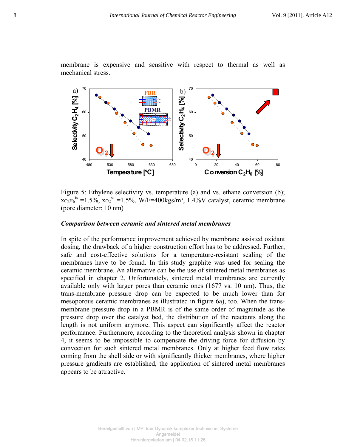membrane is expensive and sensitive with respect to thermal as well as mechanical stress.



Figure 5: Ethylene selectivity vs. temperature (a) and vs. ethane conversion (b);  $xC_2H_6^{ts} = 1.5\%$ ,  $xO_2^{ss} = 1.5\%$ , W/F=400kgs/m<sup>3</sup>, 1.4%V catalyst, ceramic membrane (pore diameter: 10 nm)

#### *Comparison between ceramic and sintered metal membranes*

In spite of the performance improvement achieved by membrane assisted oxidant dosing, the drawback of a higher construction effort has to be addressed. Further, safe and cost-effective solutions for a temperature-resistant sealing of the membranes have to be found. In this study graphite was used for sealing the ceramic membrane. An alternative can be the use of sintered metal membranes as specified in chapter 2. Unfortunately, sintered metal membranes are currently available only with larger pores than ceramic ones (1677 vs. 10 nm). Thus, the trans-membrane pressure drop can be expected to be much lower than for mesoporous ceramic membranes as illustrated in figure 6a), too. When the transmembrane pressure drop in a PBMR is of the same order of magnitude as the pressure drop over the catalyst bed, the distribution of the reactants along the length is not uniform anymore. This aspect can significantly affect the reactor performance. Furthermore, according to the theoretical analysis shown in chapter 4, it seems to be impossible to compensate the driving force for diffusion by convection for such sintered metal membranes. Only at higher feed flow rates coming from the shell side or with significantly thicker membranes, where higher pressure gradients are established, the application of sintered metal membranes appears to be attractive.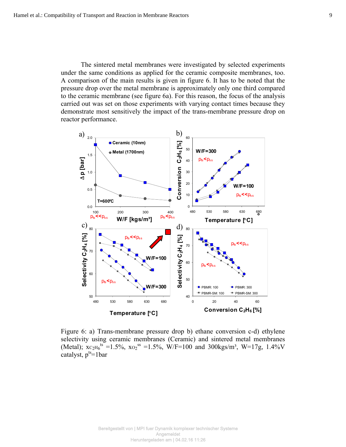The sintered metal membranes were investigated by selected experiments under the same conditions as applied for the ceramic composite membranes, too. A comparison of the main results is given in figure 6. It has to be noted that the pressure drop over the metal membrane is approximately only one third compared to the ceramic membrane (see figure 6a). For this reason, the focus of the analysis carried out was set on those experiments with varying contact times because they demonstrate most sensitively the impact of the trans-membrane pressure drop on reactor performance.



Figure 6: a) Trans-membrane pressure drop b) ethane conversion c-d) ethylene selectivity using ceramic membranes (Ceramic) and sintered metal membranes (Metal);  $x_{2}H_6^{ts} = 1.5\%$ ,  $x_{2}^{ss} = 1.5\%$ , W/F=100 and 300kgs/m<sup>3</sup>, W=17g, 1.4%V catalyst,  $p^{ts}$ =1bar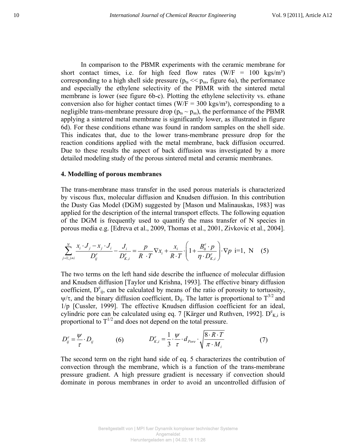In comparison to the PBMR experiments with the ceramic membrane for short contact times, i.e. for high feed flow rates  $(W/F = 100 \text{ kgs/m}^3)$ corresponding to a high shell side pressure ( $p_{ts} \ll p_{ss}$ , figure 6a), the performance and especially the ethylene selectivity of the PBMR with the sintered metal membrane is lower (see figure 6b-c). Plotting the ethylene selectivity vs. ethane conversion also for higher contact times ( $W/F = 300$  kgs/m<sup>3</sup>), corresponding to a negligible trans-membrane pressure drop ( $p_{ts} \sim p_{ss}$ ), the performance of the PBMR applying a sintered metal membrane is significantly lower, as illustrated in figure 6d). For these conditions ethane was found in random samples on the shell side. This indicates that, due to the lower trans-membrane pressure drop for the reaction conditions applied with the metal membrane, back diffusion occurred. Due to these results the aspect of back diffusion was investigated by a more detailed modeling study of the porous sintered metal and ceramic membranes.

#### **4. Modelling of porous membranes**

The trans-membrane mass transfer in the used porous materials is characterized by viscous flux, molecular diffusion and Knudsen diffusion. In this contribution the Dusty Gas Model (DGM) suggested by [Mason und Malinauskas, 1983] was applied for the description of the internal transport effects. The following equation of the DGM is frequently used to quantify the mass transfer of N species in porous media e.g. [Edreva et al., 2009, Thomas et al., 2001, Zivkovic et al., 2004].

$$
\sum_{j=1;j\neq i}^{N} \frac{x_i \cdot J_j - x_j \cdot J_i}{D_{ij}^e} - \frac{J_i}{D_{K,i}^e} = \frac{p}{R \cdot T} \nabla x_i + \frac{x_i}{R \cdot T} \cdot \left(1 + \frac{B_0^e \cdot p}{\eta \cdot D_{K,i}^e}\right) \cdot \nabla p \quad \text{i=1, N} \quad (5)
$$

The two terms on the left hand side describe the influence of molecular diffusion and Knudsen diffusion [Taylor und Krishna, 1993]. The effective binary diffusion coefficient,  $D_{ij}^e$ , can be calculated by means of the ratio of porosity to tortuosity,  $\psi/\tau$ , and the binary diffusion coefficient, D<sub>ij</sub>. The latter is proportional to T<sup>3/2</sup> and 1/p [Cussler, 1999]. The effective Knudsen diffusion coefficient for an ideal, cylindric pore can be calculated using eq. 7 [Kärger und Ruthven, 1992].  $D^{e}_{K,i}$  is proportional to  $T^{1/2}$  and does not depend on the total pressure.

$$
D_{ij}^e = \frac{\psi}{\tau} \cdot D_{ij} \qquad (6) \qquad D_{K,i}^e = \frac{1}{3} \cdot \frac{\psi}{\tau} \cdot d_{Pore} \cdot \sqrt{\frac{8 \cdot R \cdot T}{\pi \cdot M_i}} \qquad (7)
$$

The second term on the right hand side of eq. 5 characterizes the contribution of convection through the membrane, which is a function of the trans-membrane pressure gradient. A high pressure gradient is necessary if convection should dominate in porous membranes in order to avoid an uncontrolled diffusion of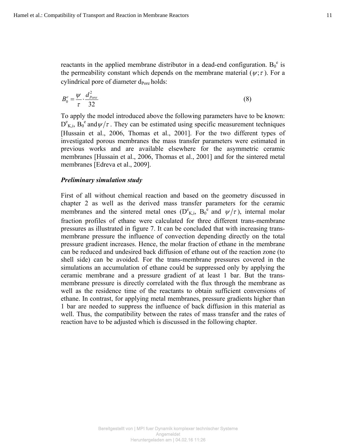reactants in the applied membrane distributor in a dead-end configuration.  $B_0^e$  is the permeability constant which depends on the membrane material ( $\psi$ ;  $\tau$ ). For a cylindrical pore of diameter  $d_{Pore}$  holds:

$$
B_0^e = \frac{\psi}{\tau} \cdot \frac{d_{Pore}^2}{32} \tag{8}
$$

To apply the model introduced above the following parameters have to be known:  $D^{e}_{K,i}$ ,  $B_0^e$  and  $\psi/\tau$ . They can be estimated using specific measurement techniques [Hussain et al., 2006, Thomas et al., 2001]. For the two different types of investigated porous membranes the mass transfer parameters were estimated in previous works and are available elsewhere for the asymmetric ceramic membranes [Hussain et al., 2006, Thomas et al., 2001] and for the sintered metal membranes [Edreva et al., 2009].

#### *Preliminary simulation study*

First of all without chemical reaction and based on the geometry discussed in chapter 2 as well as the derived mass transfer parameters for the ceramic membranes and the sintered metal ones  $(D^e_{K,i}, B_0^e)$  and  $\psi/\tau$ ), internal molar fraction profiles of ethane were calculated for three different trans-membrane pressures as illustrated in figure 7. It can be concluded that with increasing transmembrane pressure the influence of convection depending directly on the total pressure gradient increases. Hence, the molar fraction of ethane in the membrane can be reduced and undesired back diffusion of ethane out of the reaction zone (to shell side) can be avoided. For the trans-membrane pressures covered in the simulations an accumulation of ethane could be suppressed only by applying the ceramic membrane and a pressure gradient of at least 1 bar. But the transmembrane pressure is directly correlated with the flux through the membrane as well as the residence time of the reactants to obtain sufficient conversions of ethane. In contrast, for applying metal membranes, pressure gradients higher than 1 bar are needed to suppress the influence of back diffusion in this material as well. Thus, the compatibility between the rates of mass transfer and the rates of reaction have to be adjusted which is discussed in the following chapter.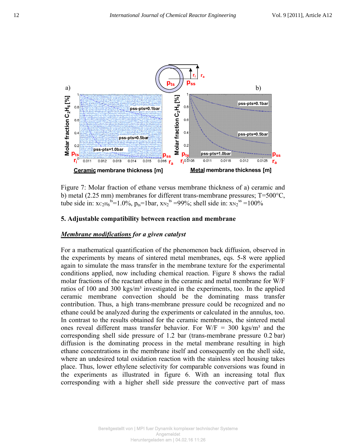

Figure 7: Molar fraction of ethane versus membrane thickness of a) ceramic and b) metal (2.25 mm) membranes for different trans-membrane pressures; T=500°C, tube side in:  $x c_2 H_6^{ts} = 1.0\%$ ,  $p_{ts} = 1$ bar,  $x N_2^{ts} = 99\%$ ; shell side in:  $x N_2^{ss} = 100\%$ 

#### **5. Adjustable compatibility between reaction and membrane**

#### *Membrane modifications for a given catalyst*

For a mathematical quantification of the phenomenon back diffusion, observed in the experiments by means of sintered metal membranes, eqs. 5-8 were applied again to simulate the mass transfer in the membrane texture for the experimental conditions applied, now including chemical reaction. Figure 8 shows the radial molar fractions of the reactant ethane in the ceramic and metal membrane for W/F ratios of 100 and 300 kgs/m<sup>3</sup> investigated in the experiments, too. In the applied ceramic membrane convection should be the dominating mass transfer contribution. Thus, a high trans-membrane pressure could be recognized and no ethane could be analyzed during the experiments or calculated in the annulus, too. In contrast to the results obtained for the ceramic membranes, the sintered metal ones reveal different mass transfer behavior. For  $W/F = 300$  kgs/m<sup>3</sup> and the corresponding shell side pressure of 1.2 bar (trans-membrane pressure 0.2 bar) diffusion is the dominating process in the metal membrane resulting in high ethane concentrations in the membrane itself and consequently on the shell side, where an undesired total oxidation reaction with the stainless steel housing takes place. Thus, lower ethylene selectivity for comparable conversions was found in the experiments as illustrated in figure 6. With an increasing total flux corresponding with a higher shell side pressure the convective part of mass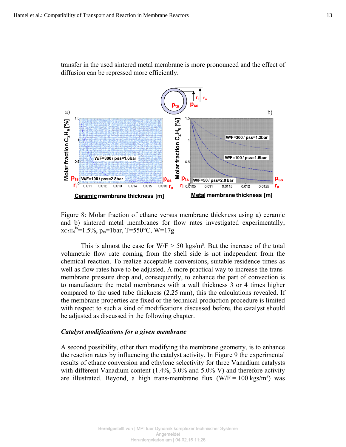transfer in the used sintered metal membrane is more pronounced and the effect of diffusion can be repressed more efficiently.



Figure 8: Molar fraction of ethane versus membrane thickness using a) ceramic and b) sintered metal membranes for flow rates investigated experimentally;  $xc<sub>2H6</sub>$ <sup>ts</sup>=1.5%, p<sub>ts</sub>=1bar, T=550°C, W=17g

This is almost the case for  $W/F > 50$  kgs/m<sup>3</sup>. But the increase of the total volumetric flow rate coming from the shell side is not independent from the chemical reaction. To realize acceptable conversions, suitable residence times as well as flow rates have to be adjusted. A more practical way to increase the transmembrane pressure drop and, consequently, to enhance the part of convection is to manufacture the metal membranes with a wall thickness 3 or 4 times higher compared to the used tube thickness (2.25 mm), this the calculations revealed. If the membrane properties are fixed or the technical production procedure is limited with respect to such a kind of modifications discussed before, the catalyst should be adjusted as discussed in the following chapter.

#### *Catalyst modifications for a given membrane*

A second possibility, other than modifying the membrane geometry, is to enhance the reaction rates by influencing the catalyst activity. In Figure 9 the experimental results of ethane conversion and ethylene selectivity for three Vanadium catalysts with different Vanadium content  $(1.4\%, 3.0\%$  and  $5.0\%$  V) and therefore activity are illustrated. Beyond, a high trans-membrane flux  $(W/F = 100 \text{ kgs/m}^3)$  was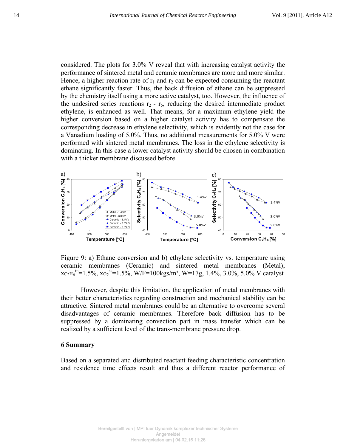considered. The plots for 3.0% V reveal that with increasing catalyst activity the performance of sintered metal and ceramic membranes are more and more similar. Hence, a higher reaction rate of  $r_1$  and  $r_2$  can be expected consuming the reactant ethane significantly faster. Thus, the back diffusion of ethane can be suppressed by the chemistry itself using a more active catalyst, too. However, the influence of the undesired series reactions  $r_2 - r_5$ , reducing the desired intermediate product ethylene, is enhanced as well. That means, for a maximum ethylene yield the higher conversion based on a higher catalyst activity has to compensate the corresponding decrease in ethylene selectivity, which is evidently not the case for a Vanadium loading of 5.0%. Thus, no additional measurements for 5.0% V were performed with sintered metal membranes. The loss in the ethylene selectivity is dominating. In this case a lower catalyst activity should be chosen in combination with a thicker membrane discussed before.



Figure 9: a) Ethane conversion and b) ethylene selectivity vs. temperature using ceramic membranes (Ceramic) and sintered metal membranes (Metal);  $xC_2H_6$ <sup>in</sup>=1.5%,  $xO_2$ <sup>ss</sup>=1.5%, W/F=100kgs/m<sup>3</sup>, W=17g, 1.4%, 3.0%, 5.0% V catalyst

However, despite this limitation, the application of metal membranes with their better characteristics regarding construction and mechanical stability can be attractive. Sintered metal membranes could be an alternative to overcome several disadvantages of ceramic membranes. Therefore back diffusion has to be suppressed by a dominating convection part in mass transfer which can be realized by a sufficient level of the trans-membrane pressure drop.

#### **6 Summary**

Based on a separated and distributed reactant feeding characteristic concentration and residence time effects result and thus a different reactor performance of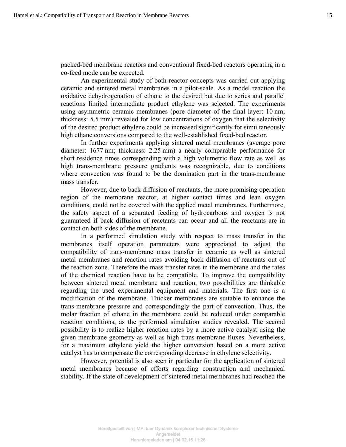packed-bed membrane reactors and conventional fixed-bed reactors operating in a co-feed mode can be expected.

An experimental study of both reactor concepts was carried out applying ceramic and sintered metal membranes in a pilot-scale. As a model reaction the oxidative dehydrogenation of ethane to the desired but due to series and parallel reactions limited intermediate product ethylene was selected. The experiments using asymmetric ceramic membranes (pore diameter of the final layer: 10 nm; thickness: 5.5 mm) revealed for low concentrations of oxygen that the selectivity of the desired product ethylene could be increased significantly for simultaneously high ethane conversions compared to the well-established fixed-bed reactor.

In further experiments applying sintered metal membranes (average pore diameter: 1677 nm; thickness: 2.25 mm) a nearly comparable performance for short residence times corresponding with a high volumetric flow rate as well as high trans-membrane pressure gradients was recognizable, due to conditions where convection was found to be the domination part in the trans-membrane mass transfer.

However, due to back diffusion of reactants, the more promising operation region of the membrane reactor, at higher contact times and lean oxygen conditions, could not be covered with the applied metal membranes. Furthermore, the safety aspect of a separated feeding of hydrocarbons and oxygen is not guaranteed if back diffusion of reactants can occur and all the reactants are in contact on both sides of the membrane.

In a performed simulation study with respect to mass transfer in the membranes itself operation parameters were appreciated to adjust the compatibility of trans-membrane mass transfer in ceramic as well as sintered metal membranes and reaction rates avoiding back diffusion of reactants out of the reaction zone. Therefore the mass transfer rates in the membrane and the rates of the chemical reaction have to be compatible. To improve the compatibility between sintered metal membrane and reaction, two possibilities are thinkable regarding the used experimental equipment and materials. The first one is a modification of the membrane. Thicker membranes are suitable to enhance the trans-membrane pressure and correspondingly the part of convection. Thus, the molar fraction of ethane in the membrane could be reduced under comparable reaction conditions, as the performed simulation studies revealed. The second possibility is to realize higher reaction rates by a more active catalyst using the given membrane geometry as well as high trans-membrane fluxes. Nevertheless, for a maximum ethylene yield the higher conversion based on a more active catalyst has to compensate the corresponding decrease in ethylene selectivity.

However, potential is also seen in particular for the application of sintered metal membranes because of efforts regarding construction and mechanical stability. If the state of development of sintered metal membranes had reached the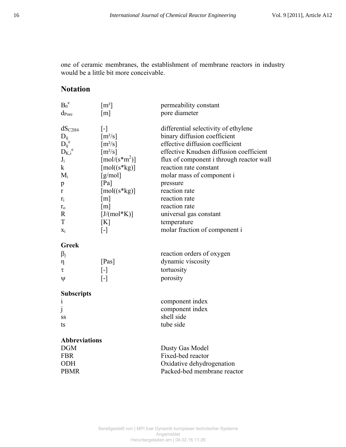one of ceramic membranes, the establishment of membrane reactors in industry would be a little bit more conceivable.

### **Notation**

| $B_0^e$                                                                                                                                                                     | $\lceil m^2 \rceil$                                                                                                                                                                                                                               | permeability constant                                                                                                                                                                                                                                                                                                                                         |  |
|-----------------------------------------------------------------------------------------------------------------------------------------------------------------------------|---------------------------------------------------------------------------------------------------------------------------------------------------------------------------------------------------------------------------------------------------|---------------------------------------------------------------------------------------------------------------------------------------------------------------------------------------------------------------------------------------------------------------------------------------------------------------------------------------------------------------|--|
| $d_{Pore}$                                                                                                                                                                  | $\lceil m \rceil$                                                                                                                                                                                                                                 | pore diameter                                                                                                                                                                                                                                                                                                                                                 |  |
| dS <sub>C2H4</sub><br>$\frac{D_{ij}}{D_{ij}^e}$<br>$D_{K,i}^{\nu}^{\text{e}}$<br>$J_i$<br>$\mathbf{k}$<br>$M_i$<br>p<br>r<br>$r_i$<br>$r_{o}$<br>$\mathbf R$<br>$\mathbf T$ | $[\cdot]$<br>$\lceil m^2/s \rceil$<br>$\left[\frac{m^2}{s}\right]$<br>$\lceil m^2/s \rceil$<br>$[{\rm mol/(s* m2)}]$<br>$[mol((s * kg)]$<br>[g/mol]<br>[Pa]<br>$[mol((s * kg)]$<br>$\lceil m \rceil$<br>$\lceil m \rceil$<br>$[J/(mol*K)]$<br>[K] | differential selectivity of ethylene<br>binary diffusion coefficient<br>effective diffusion coefficient<br>effective Knudsen diffusion coefficient<br>flux of component i through reactor wall<br>reaction rate constant<br>molar mass of component i<br>pressure<br>reaction rate<br>reaction rate<br>reaction rate<br>universal gas constant<br>temperature |  |
| $X_i$                                                                                                                                                                       | $\lceil - \rceil$                                                                                                                                                                                                                                 | molar fraction of component i                                                                                                                                                                                                                                                                                                                                 |  |
| <b>Greek</b><br>$\beta_j$<br>η<br>$\tau$<br>$\Psi$                                                                                                                          | [Pas]<br>$[\cdot]$<br>$[\cdot]$                                                                                                                                                                                                                   | reaction orders of oxygen<br>dynamic viscosity<br>tortuosity<br>porosity                                                                                                                                                                                                                                                                                      |  |
| <b>Subscripts</b>                                                                                                                                                           |                                                                                                                                                                                                                                                   |                                                                                                                                                                                                                                                                                                                                                               |  |
| 1<br>j<br>SS<br>ts                                                                                                                                                          |                                                                                                                                                                                                                                                   | component index<br>component index<br>shell side<br>tube side                                                                                                                                                                                                                                                                                                 |  |
| <b>Abbreviations</b>                                                                                                                                                        |                                                                                                                                                                                                                                                   |                                                                                                                                                                                                                                                                                                                                                               |  |
| <b>DGM</b>                                                                                                                                                                  |                                                                                                                                                                                                                                                   | Dusty Gas Model                                                                                                                                                                                                                                                                                                                                               |  |
| <b>FBR</b>                                                                                                                                                                  |                                                                                                                                                                                                                                                   | Fixed-bed reactor                                                                                                                                                                                                                                                                                                                                             |  |
| ODH                                                                                                                                                                         |                                                                                                                                                                                                                                                   | Oxidative dehydrogenation                                                                                                                                                                                                                                                                                                                                     |  |
| <b>PBMR</b>                                                                                                                                                                 |                                                                                                                                                                                                                                                   | Packed-bed membrane reactor                                                                                                                                                                                                                                                                                                                                   |  |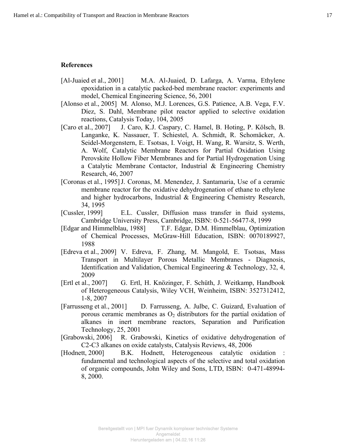#### **References**

- [Al-Juaied et al., 2001] M.A. Al-Juaied, D. Lafarga, A. Varma, Ethylene epoxidation in a catalytic packed-bed membrane reactor: experiments and model, Chemical Engineering Science, 56, 2001
- [Alonso et al., 2005] M. Alonso, M.J. Lorences, G.S. Patience, A.B. Vega, F.V. Díez, S. Dahl, Membrane pilot reactor applied to selective oxidation reactions, Catalysis Today, 104, 2005
- [Caro et al., 2007] J. Caro, K.J. Caspary, C. Hamel, B. Hoting, P. Kölsch, B. Langanke, K. Nassauer, T. Schiestel, A. Schmidt, R. Schomäcker, A. Seidel-Morgenstern, E. Tsotsas, I. Voigt, H. Wang, R. Warsitz, S. Werth, A. Wolf, Catalytic Membrane Reactors for Partial Oxidation Using Perovskite Hollow Fiber Membranes and for Partial Hydrogenation Using a Catalytic Membrane Contactor, Industrial & Engineering Chemistry Research, 46, 2007
- [Coronas et al., 1995] J. Coronas, M. Menendez, J. Santamaria, Use of a ceramic membrane reactor for the oxidative dehydrogenation of ethane to ethylene and higher hydrocarbons, Industrial & Engineering Chemistry Research, 34, 1995
- [Cussler, 1999] E.L. Cussler, Diffusion mass transfer in fluid systems, Cambridge University Press, Cambridge, ISBN: 0-521-56477-8, 1999
- [Edgar and Himmelblau, 1988] T.F. Edgar, D.M. Himmelblau, Optimization of Chemical Processes, McGraw-Hill Education, ISBN: 0070189927, 1988
- [Edreva et al., 2009] V. Edreva, F. Zhang, M. Mangold, E. Tsotsas, Mass Transport in Multilayer Porous Metallic Membranes - Diagnosis, Identification and Validation, Chemical Engineering & Technology, 32, 4, 2009
- [Ertl et al., 2007] G. Ertl, H. Knözinger, F. Schüth, J. Weitkamp, Handbook of Heterogeneous Catalysis, Wiley VCH, Weinheim, ISBN: 3527312412, 1-8, 2007
- [Farrusseng et al., 2001] D. Farrusseng, A. Julbe, C. Guizard, Evaluation of porous ceramic membranes as  $O_2$  distributors for the partial oxidation of alkanes in inert membrane reactors, Separation and Purification Technology, 25, 2001
- [Grabowski, 2006] R. Grabowski, Kinetics of oxidative dehydrogenation of C2-C3 alkanes on oxide catalysts, Catalysis Reviews, 48, 2006
- [Hodnett, 2000] B.K. Hodnett, Heterogeneous catalytic oxidation : fundamental and technological aspects of the selective and total oxidation of organic compounds, John Wiley and Sons, LTD, ISBN: 0-471-48994- 8, 2000.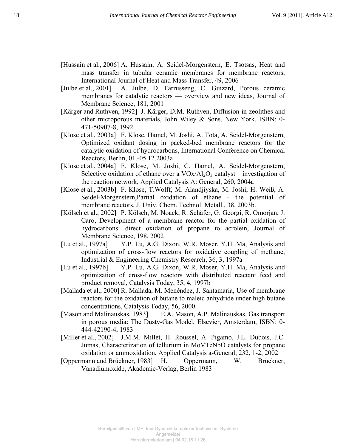- [Hussain et al., 2006] A. Hussain, A. Seidel-Morgenstern, E. Tsotsas, Heat and mass transfer in tubular ceramic membranes for membrane reactors, International Journal of Heat and Mass Transfer, 49, 2006
- [Julbe et al., 2001] A. Julbe, D. Farrusseng, C. Guizard, Porous ceramic membranes for catalytic reactors — overview and new ideas, Journal of Membrane Science, 181, 2001
- [Kärger and Ruthven, 1992] J. Kärger, D.M. Ruthven, Diffusion in zeolithes and other microporous materials, John Wiley & Sons, New York, ISBN: 0- 471-50907-8, 1992
- [Klose et al., 2003a] F. Klose, Hamel, M. Joshi, A. Tota, A. Seidel-Morgenstern, Optimized oxidant dosing in packed-bed membrane reactors for the catalytic oxidation of hydrocarbons, International Conference on Chemical Reactors, Berlin, 01.-05.12.2003a
- [Klose et al., 2004a] F. Klose, M. Joshi, C. Hamel, A. Seidel-Morgenstern, Selective oxidation of ethane over a  $VOx/Al_2O_3$  catalyst – investigation of the reaction network, Applied Catalysis A: General, 260, 2004a
- [Klose et al., 2003b] F. Klose, T.Wolff, M. Alandjiyska, M. Joshi, H. Weiß, A. Seidel-Morgenstern,Partial oxidation of ethane - the potential of membrane reactors, J. Univ. Chem. Technol. Metall., 38, 2003b.
- [Kölsch et al., 2002] P. Kölsch, M. Noack, R. Schäfer, G. Georgi, R. Omorjan, J. Caro, Development of a membrane reactor for the partial oxidation of hydrocarbons: direct oxidation of propane to acrolein, Journal of Membrane Science, 198, 2002
- [Lu et al., 1997a] Y.P. Lu, A.G. Dixon, W.R. Moser, Y.H. Ma, Analysis and optimization of cross-flow reactors for oxidative coupling of methane, Industrial & Engineering Chemistry Research, 36, 3, 1997a
- [Lu et al., 1997b] Y.P. Lu, A.G. Dixon, W.R. Moser, Y.H. Ma, Analysis and optimization of cross-flow reactors with distributed reactant feed and product removal, Catalysis Today, 35, 4, 1997b
- [Mallada et al., 2000] R. Mallada, M. Menéndez, J. Santamaría, Use of membrane reactors for the oxidation of butane to maleic anhydride under high butane concentrations, Catalysis Today, 56, 2000
- [Mason and Malinauskas, 1983] E.A. Mason, A.P. Malinauskas, Gas transport in porous media: The Dusty-Gas Model, Elsevier, Amsterdam, ISBN: 0- 444-42190-4, 1983
- [Millet et al., 2002] J.M.M. Millet, H. Roussel, A. Pigamo, J.L. Dubois, J.C. Jumas, Characterization of tellurium in MoVTeNbO catalysts for propane oxidation or ammoxidation, Applied Catalysis a-General, 232, 1-2, 2002
- [Oppermann and Brückner, 1983] H. Oppermann, W. Brückner, Vanadiumoxide, Akademie-Verlag, Berlin 1983